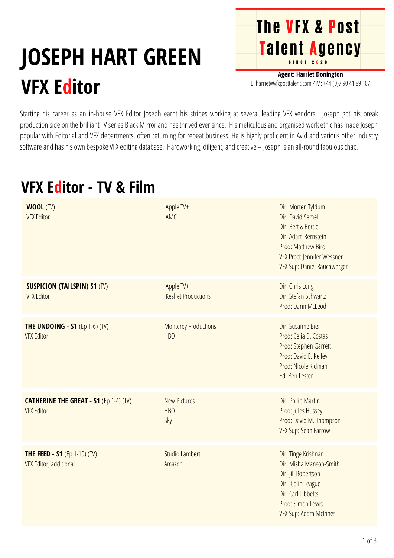## **JOSEPH HART GREEN VFX Editor**

**Agent: Harriet Donington** E: harriet@vfxposttalent.com / M:+44(0)7904189107

**The VFX & Post** 

Talent Agency

Starting his career as an in-house VFX Editor Joseph earnt his stripes working at several leading VFX vendors. Joseph got his break production side on the brilliant TV series Black Mirror and has thrived ever since. His meticulous and organised work ethic has made Joseph popular with Editorial and VFX departments, often returning for repeat business. He is highly proficient in Avid and various other industry software and has his own bespoke VFX editing database. Hardworking, diligent, and creative – Joseph is an all-round fabulous chap.

## **VFX Editor - TV & Film**

| <b>WOOL (TV)</b><br><b>VFX Editor</b>                              | Apple TV+<br>AMC                               | Dir: Morten Tyldum<br>Dir: David Semel<br>Dir: Bert & Bertie<br>Dir: Adam Bernstein<br>Prod: Matthew Bird<br>VFX Prod: Jennifer Wessner<br>VFX Sup: Daniel Rauchwerger |
|--------------------------------------------------------------------|------------------------------------------------|------------------------------------------------------------------------------------------------------------------------------------------------------------------------|
| <b>SUSPICION (TAILSPIN) S1 (TV)</b><br><b>VFX Editor</b>           | Apple TV+<br><b>Keshet Productions</b>         | Dir: Chris Long<br>Dir: Stefan Schwartz<br>Prod: Darin McLeod                                                                                                          |
| <b>THE UNDOING - S1 (Ep 1-6) (TV)</b><br><b>VFX Editor</b>         | <b>Monterey Productions</b><br>HB <sub>O</sub> | Dir: Susanne Bier<br>Prod: Celia D. Costas<br>Prod: Stephen Garrett<br>Prod: David E. Kelley<br>Prod: Nicole Kidman<br>Ed: Ben Lester                                  |
| <b>CATHERINE THE GREAT - S1 (Ep 1-4) (TV)</b><br><b>VFX Editor</b> | <b>New Pictures</b><br><b>HBO</b><br>Sky       | Dir: Philip Martin<br>Prod: Jules Hussey<br>Prod: David M. Thompson<br>VFX Sup: Sean Farrow                                                                            |
| <b>THE FEED - S1 (Ep 1-10) (TV)</b><br>VFX Editor, additional      | <b>Studio Lambert</b><br>Amazon                | Dir: Tinge Krishnan<br>Dir: Misha Manson-Smith<br>Dir: Jill Robertson<br>Dir: Colin Teague<br>Dir: Carl Tibbetts<br>Prod: Simon Lewis<br>VFX Sup: Adam McInnes         |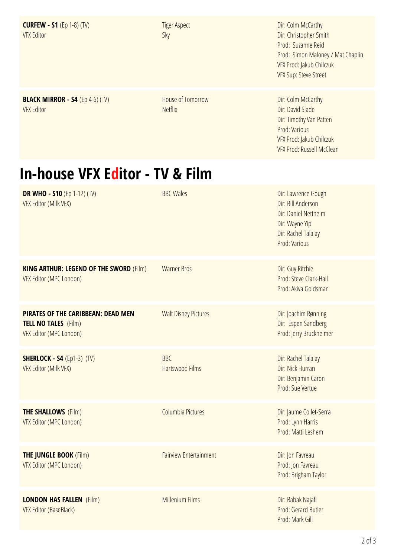**CURFEW - S1** (Ep 1-8) (TV) **VFX Editor** 

**BLACK MIRROR - S4** (Ep 4-6) (TV)

**VFX Editor** 

**Tiger Aspect** Sky

House of Tomorrow

**Netflix** 

Dir: Colm McCarthy Dir: Christopher Smith Prod: Suzanne Reid Prod: Simon Maloney / Mat Chaplin VFX Prod: Jakub Chilczuk VFX Sup: Steve Street

Dir: Colm McCarthy Dir: David Slade Dir: Timothy Van Patten Prod: Various VFX Prod: Jakub Chilczuk VFX Prod: Russell McClean

## **In-house VFX Editor - TV & Film**

| <b>DR WHO - S10 (Ep 1-12) (TV)</b><br>VFX Editor (Milk VFX)                                  | <b>BBC Wales</b>                     | Dir: Lawrence Gough<br>Dir: Bill Anderson<br>Dir: Daniel Nettheim<br>Dir: Wayne Yip<br>Dir: Rachel Talalay<br>Prod: Various |
|----------------------------------------------------------------------------------------------|--------------------------------------|-----------------------------------------------------------------------------------------------------------------------------|
| <b>KING ARTHUR: LEGEND OF THE SWORD (Film)</b><br>VFX Editor (MPC London)                    | <b>Warner Bros</b>                   | Dir: Guy Ritchie<br>Prod: Steve Clark-Hall<br>Prod: Akiva Goldsman                                                          |
| PIRATES OF THE CARIBBEAN: DEAD MEN<br><b>TELL NO TALES</b> (Film)<br>VFX Editor (MPC London) | <b>Walt Disney Pictures</b>          | Dir: Joachim Rønning<br>Dir: Espen Sandberg<br>Prod: Jerry Bruckheimer                                                      |
| <b>SHERLOCK - S4</b> (Ep1-3) (TV)<br>VFX Editor (Milk VFX)                                   | <b>BBC</b><br><b>Hartswood Films</b> | Dir: Rachel Talalay<br>Dir: Nick Hurran<br>Dir: Benjamin Caron<br>Prod: Sue Vertue                                          |
| <b>THE SHALLOWS (Film)</b><br>VFX Editor (MPC London)                                        | Columbia Pictures                    | Dir: Jaume Collet-Serra<br>Prod: Lynn Harris<br>Prod: Matti Leshem                                                          |
| <b>THE JUNGLE BOOK (Film)</b><br>VFX Editor (MPC London)                                     | <b>Fairview Entertainment</b>        | Dir: Jon Favreau<br>Prod: Jon Favreau<br>Prod: Brigham Taylor                                                               |
| <b>LONDON HAS FALLEN (Film)</b><br><b>VFX Editor (BaseBlack)</b>                             | <b>Millenium Films</b>               | Dir: Babak Najafi<br>Prod: Gerard Butler<br>Prod: Mark Gill                                                                 |